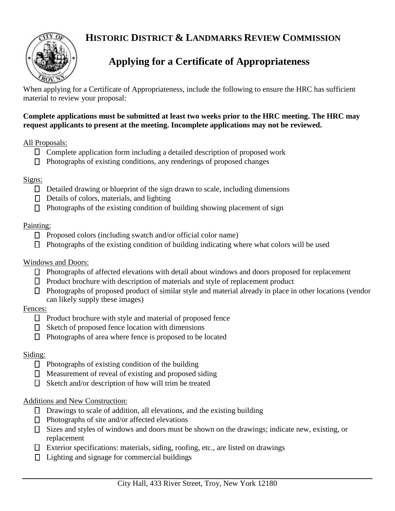### **HISTORIC DISTRICT & LANDMARKS REVIEW COMMISSION**



# **Applying for a Certificate of Appropriateness**

When applying for a Certificate of Appropriateness, include the following to ensure the HRC has sufficient material to review your proposal:

#### **Complete applications must be submitted at least two weeks prior to the HRC meeting. The HRC may request applicants to present at the meeting. Incomplete applications may not be reviewed.**

#### All Proposals:

- $\Box$  Complete application form including a detailed description of proposed work
- $\Box$  Photographs of existing conditions, any renderings of proposed changes

#### Signs:

- $\Box$  Detailed drawing or blueprint of the sign drawn to scale, including dimensions
- $\Box$  Details of colors, materials, and lighting
- $\Box$  Photographs of the existing condition of building showing placement of sign

#### Painting:

- $\Box$  Proposed colors (including swatch and/or official color name)
- $\Box$  Photographs of the existing condition of building indicating where what colors will be used

#### Windows and Doors:

- $\Box$  Photographs of affected elevations with detail about windows and doors proposed for replacement
- $\Box$  Product brochure with description of materials and style of replacement product
- $\Box$  Photographs of proposed product of similar style and material already in place in other locations (vendor can likely supply these images)

### Fences:

- $\Box$  Product brochure with style and material of proposed fence
- $\Box$  Sketch of proposed fence location with dimensions
- $\Box$  Photographs of area where fence is proposed to be located

### Siding:

- $\Box$  Photographs of existing condition of the building
- $\Box$  Measurement of reveal of existing and proposed siding
- $\Box$  Sketch and/or description of how will trim be treated

#### Additions and New Construction:

- $\Box$  Drawings to scale of addition, all elevations, and the existing building
- $\Box$  Photographs of site and/or affected elevations
- $\Box$  Sizes and styles of windows and doors must be shown on the drawings; indicate new, existing, or replacement
- $\Box$  Exterior specifications: materials, siding, roofing, etc., are listed on drawings
- $\Box$  Lighting and signage for commercial buildings